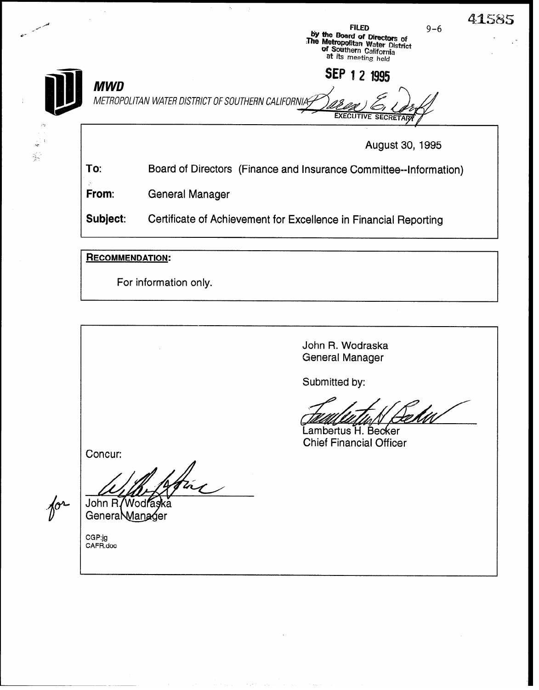|                          |                        | <b>FILED</b><br>$9 - 6$<br>by the Board of Directors of<br>The Metropolitan Water District<br>of Southern California<br>at its meeting held | 41585 |
|--------------------------|------------------------|---------------------------------------------------------------------------------------------------------------------------------------------|-------|
| 77<br>$\frac{1}{2}$<br>シ | <b>MWD</b>             | SEP 1 2 1995<br>METROPOLITAN WATER DISTRICT OF SOUTHERN CALIFORNIA,<br><b>EXECUTIVE SECRETARY</b>                                           |       |
|                          |                        | August 30, 1995                                                                                                                             |       |
|                          | To:                    | Board of Directors (Finance and Insurance Committee--Information)                                                                           |       |
|                          | From:                  | <b>General Manager</b>                                                                                                                      |       |
|                          | Subject:               | Certificate of Achievement for Excellence in Financial Reporting                                                                            |       |
|                          | <b>RECOMMENDATION:</b> |                                                                                                                                             |       |

For information only.

John R. Wodraska General Manager

Submitted by:

UM

Lambertus H. Becker Chief Financial Officer

Concur:

fine

John R/Wodfaska

 $\frac{1}{2}$ CAFR.doc

 $\int_{0}^{\infty}$